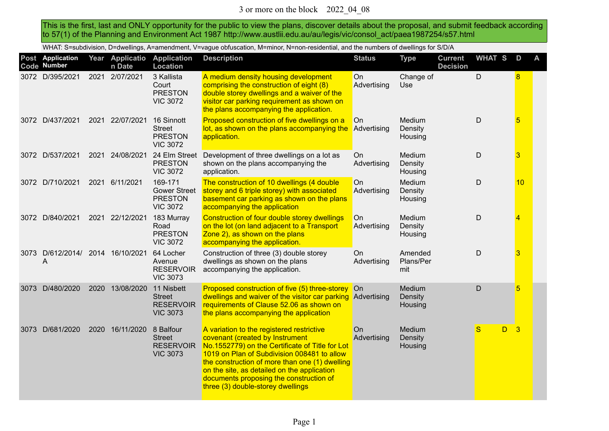This is the first, last and ONLY opportunity for the public to view the plans, discover details about the proposal, and submit feedback according to 57(1) of the Planning and Environment Act 1987 http://www.austlii.edu.au/au/legis/vic/consol\_act/paea1987254/s57.html

WHAT: S=subdivision, D=dwellings, A=amendment, V=vague obfuscation, M=minor, N=non-residential, and the numbers of dwellings for S/D/A

|      | Post Application<br>Code Number       |      | Year Applicatio<br>n Date | <b>Application</b><br>Location                                      | <b>Description</b>                                                                                                                                                                                                                                                                                                                                              | <b>Status</b>     | <b>Type</b>                  | <b>Current</b><br><b>Decision</b> | <b>WHAT S</b> | D  | A |
|------|---------------------------------------|------|---------------------------|---------------------------------------------------------------------|-----------------------------------------------------------------------------------------------------------------------------------------------------------------------------------------------------------------------------------------------------------------------------------------------------------------------------------------------------------------|-------------------|------------------------------|-----------------------------------|---------------|----|---|
|      | 3072 D/395/2021                       | 2021 | 2/07/2021                 | 3 Kallista<br>Court<br><b>PRESTON</b><br><b>VIC 3072</b>            | A medium density housing development<br>comprising the construction of eight (8)<br>double storey dwellings and a waiver of the<br>visitor car parking requirement as shown on<br>the plans accompanying the application.                                                                                                                                       | On<br>Advertising | Change of<br><b>Use</b>      |                                   | D             | 8  |   |
|      | 3072 D/437/2021                       |      | 2021 22/07/2021           | 16 Sinnott<br><b>Street</b><br><b>PRESTON</b><br><b>VIC 3072</b>    | Proposed construction of five dwellings on a<br>lot, as shown on the plans accompanying the<br>application.                                                                                                                                                                                                                                                     | On<br>Advertising | Medium<br>Density<br>Housing |                                   | $\mathsf D$   | 5  |   |
|      | 3072 D/537/2021                       | 2021 | 24/08/2021                | 24 Elm Street<br><b>PRESTON</b><br><b>VIC 3072</b>                  | Development of three dwellings on a lot as<br>shown on the plans accompanying the<br>application.                                                                                                                                                                                                                                                               | On<br>Advertising | Medium<br>Density<br>Housing |                                   | $\mathsf D$   | 3  |   |
|      | 3072 D/710/2021                       | 2021 | 6/11/2021                 | 169-171<br><b>Gower Street</b><br><b>PRESTON</b><br><b>VIC 3072</b> | The construction of 10 dwellings (4 double<br>storey and 6 triple storey) with associated<br>basement car parking as shown on the plans<br>accompanying the application                                                                                                                                                                                         | On<br>Advertising | Medium<br>Density<br>Housing |                                   | $\mathsf D$   | 10 |   |
|      | 3072 D/840/2021                       |      | 2021 22/12/2021           | 183 Murray<br>Road<br><b>PRESTON</b><br><b>VIC 3072</b>             | Construction of four double storey dwellings<br>on the lot (on land adjacent to a Transport<br>Zone 2), as shown on the plans<br>accompanying the application.                                                                                                                                                                                                  | On<br>Advertising | Medium<br>Density<br>Housing |                                   | $\mathsf D$   | 4  |   |
|      | 3073 D/612/2014/ 2014 16/10/2021<br>Α |      |                           | 64 Locher<br>Avenue<br><b>RESERVOIR</b><br><b>VIC 3073</b>          | Construction of three (3) double storey<br>dwellings as shown on the plans<br>accompanying the application.                                                                                                                                                                                                                                                     | On<br>Advertising | Amended<br>Plans/Per<br>mit  |                                   | D             | 3  |   |
| 3073 | D/480/2020                            | 2020 | 13/08/2020                | 11 Nisbett<br><b>Street</b><br><b>RESERVOIR</b><br><b>VIC 3073</b>  | Proposed construction of five (5) three-storey<br>dwellings and waiver of the visitor car parking<br>requirements of Clause 52.06 as shown on<br>the plans accompanying the application                                                                                                                                                                         | On<br>Advertising | Medium<br>Density<br>Housing |                                   | D             | 5  |   |
| 3073 | D/681/2020                            |      | 2020 16/11/2020 8 Balfour | <b>Street</b><br><b>RESERVOIR</b><br><b>VIC 3073</b>                | A variation to the registered restrictive<br>covenant (created by Instrument<br>No.1552779) on the Certificate of Title for Lot<br>1019 on Plan of Subdivision 008481 to allow<br>the construction of more than one (1) dwelling<br>on the site, as detailed on the application<br>documents proposing the construction of<br>three (3) double-storey dwellings | On<br>Advertising | Medium<br>Density<br>Housing |                                   | S<br>D.       | 3  |   |